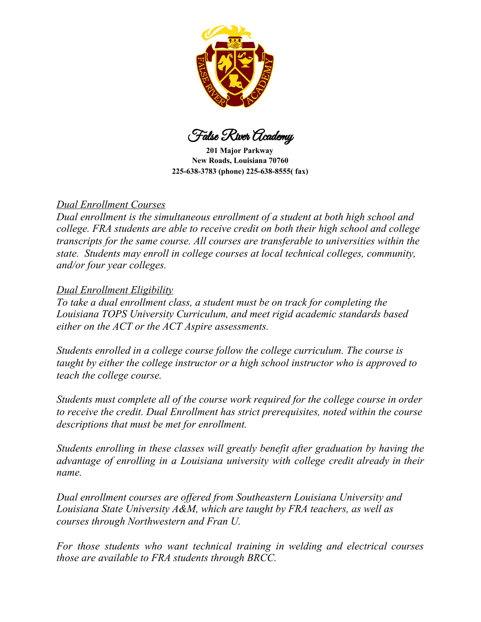

False River Academy

**201 Major Parkway New Roads, Louisiana 70760 225-638-3783 (phone) 225-638-8555( fax)**

# *Dual Enrollment Courses*

*Dual enrollment is the simultaneous enrollment of a student at both high school and college. FRA students are able to receive credit on both their high school and college transcripts for the same course. All courses are transferable to universities within the state. Students may enroll in college courses at local technical colleges, community, and/or four year colleges.*

# *Dual Enrollment Eligibility*

*To take a dual enrollment class, a student must be on track for completing the Louisiana TOPS University Curriculum, and meet rigid academic standards based either on the ACT or the ACT Aspire assessments.*

*Students enrolled in a college course follow the college curriculum. The course is taught by either the college instructor or a high school instructor who is approved to teach the college course.*

*Students must complete all of the course work required for the college course in order to receive the credit. Dual Enrollment has strict prerequisites, noted within the course descriptions that must be met for enrollment.*

*Students enrolling in these classes will greatly benefit after graduation by having the advantage of enrolling in a Louisiana university with college credit already in their name.*

*Dual enrollment courses are offered from Southeastern Louisiana University and Louisiana State University A&M, which are taught by FRA teachers, as well as courses through Northwestern and Fran U.*

*For those students who want technical training in welding and electrical courses those are available to FRA students through BRCC.*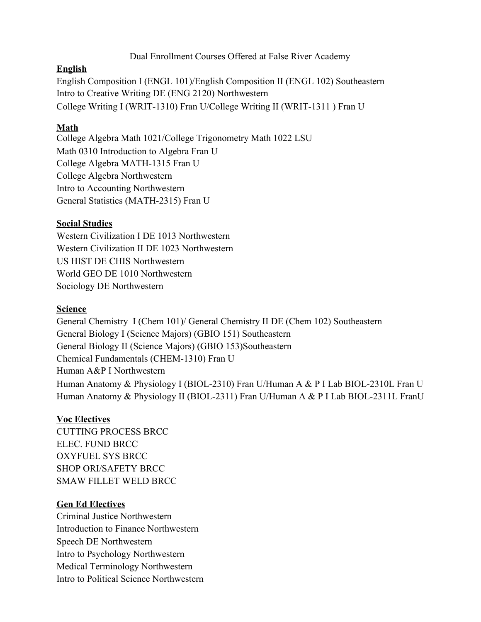### Dual Enrollment Courses Offered at False River Academy

#### **English**

English Composition I (ENGL 101)/English Composition II (ENGL 102) Southeastern Intro to Creative Writing DE (ENG 2120) Northwestern College Writing I (WRIT-1310) Fran U/College Writing II (WRIT-1311 ) Fran U

# **Math**

College Algebra Math 1021/College Trigonometry Math 1022 LSU Math 0310 Introduction to Algebra Fran U College Algebra MATH-1315 Fran U College Algebra Northwestern Intro to Accounting Northwestern General Statistics (MATH-2315) Fran U

### **Social Studies**

Western Civilization I DE 1013 Northwestern Western Civilization II DE 1023 Northwestern US HIST DE CHIS Northwestern World GEO DE 1010 Northwestern Sociology DE Northwestern

# **Science**

General Chemistry I (Chem 101)/ General Chemistry II DE (Chem 102) Southeastern General Biology I (Science Majors) (GBIO 151) Southeastern General Biology II (Science Majors) (GBIO 153)Southeastern Chemical Fundamentals (CHEM-1310) Fran U Human A&P I Northwestern Human Anatomy & Physiology I (BIOL-2310) Fran U/Human A & P I Lab BIOL-2310L Fran U Human Anatomy & Physiology II (BIOL-2311) Fran U/Human A & P I Lab BIOL-2311L FranU

# **Voc Electives**

CUTTING PROCESS BRCC ELEC. FUND BRCC OXYFUEL SYS BRCC SHOP ORI/SAFETY BRCC SMAW FILLET WELD BRCC

# **Gen Ed Electives**

Criminal Justice Northwestern Introduction to Finance Northwestern Speech DE Northwestern Intro to Psychology Northwestern Medical Terminology Northwestern Intro to Political Science Northwestern